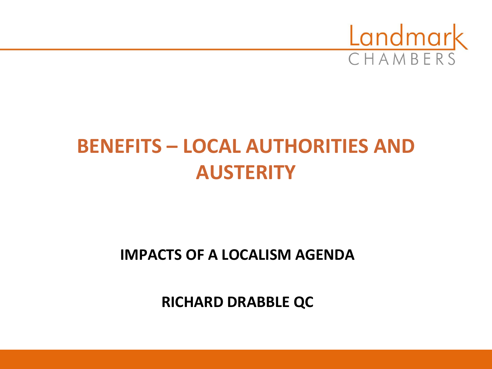

# **BENEFITS – LOCAL AUTHORITIES AND AUSTERITY**

### **IMPACTS OF A LOCALISM AGENDA**

**RICHARD DRABBLE QC**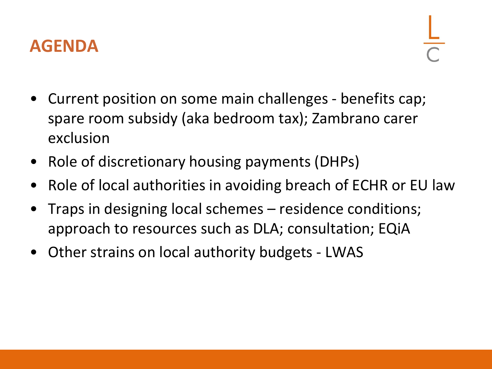

- Current position on some main challenges benefits cap; spare room subsidy (aka bedroom tax); Zambrano carer exclusion
- Role of discretionary housing payments (DHPs)
- Role of local authorities in avoiding breach of ECHR or EU law
- Traps in designing local schemes residence conditions; approach to resources such as DLA; consultation; EQiA
- Other strains on local authority budgets LWAS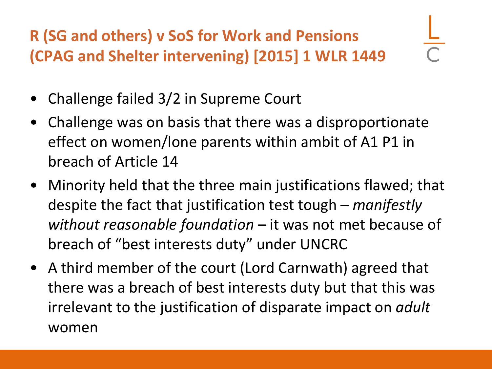**R (SG and others) v SoS for Work and Pensions (CPAG and Shelter intervening) [2015] 1 WLR 1449**

- Challenge failed 3/2 in Supreme Court
- Challenge was on basis that there was a disproportionate effect on women/lone parents within ambit of A1 P1 in breach of Article 14
- Minority held that the three main justifications flawed; that despite the fact that justification test tough – *manifestly without reasonable foundation –* it was not met because of breach of "best interests duty" under UNCRC
- A third member of the court (Lord Carnwath) agreed that there was a breach of best interests duty but that this was irrelevant to the justification of disparate impact on *adult* women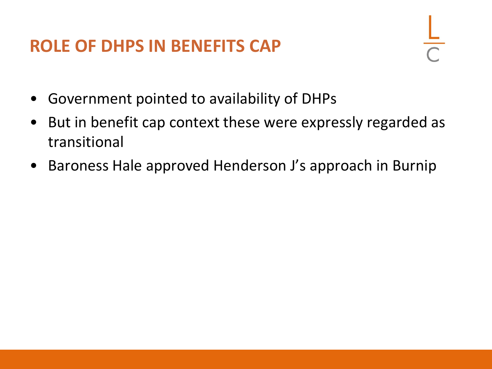### **ROLE OF DHPS IN BENEFITS CAP**

- Government pointed to availability of DHPs
- But in benefit cap context these were expressly regarded as transitional
- Baroness Hale approved Henderson J's approach in Burnip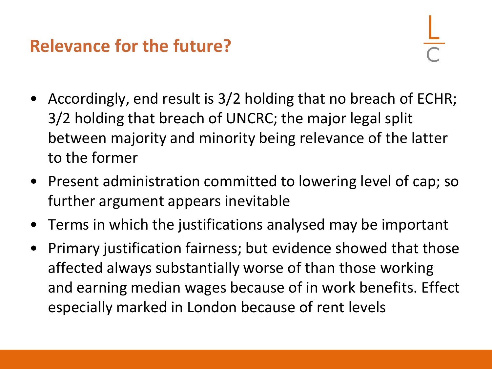### **Relevance for the future?**

- Accordingly, end result is 3/2 holding that no breach of ECHR; 3/2 holding that breach of UNCRC; the major legal split between majority and minority being relevance of the latter to the former
- Present administration committed to lowering level of cap; so further argument appears inevitable
- Terms in which the justifications analysed may be important
- Primary justification fairness; but evidence showed that those affected always substantially worse of than those working and earning median wages because of in work benefits. Effect especially marked in London because of rent levels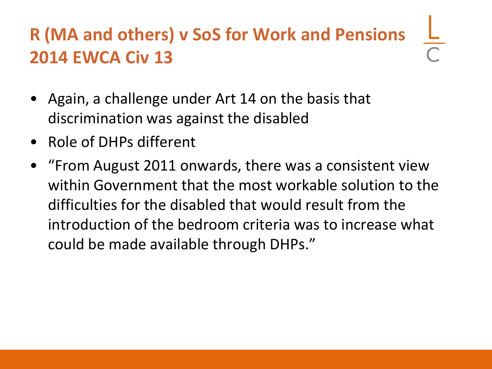## **R (MA and others) v SoS for Work and Pensions 2014 EWCA Civ 13**

- Again, a challenge under Art 14 on the basis that discrimination was against the disabled
- Role of DHPs different
- "From August 2011 onwards, there was a consistent view within Government that the most workable solution to the difficulties for the disabled that would result from the introduction of the bedroom criteria was to increase what could be made available through DHPs."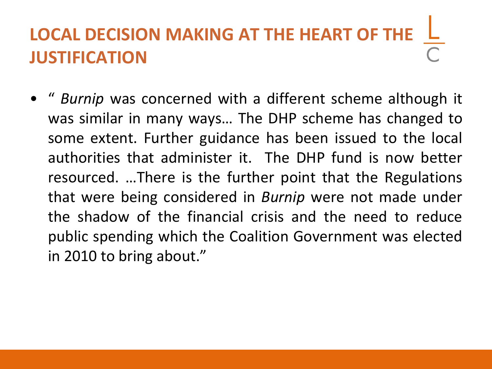# **LOCAL DECISION MAKING AT THE HEART OF THE JUSTIFICATION**

• " *Burnip* was concerned with a different scheme although it was similar in many ways… The DHP scheme has changed to some extent. Further guidance has been issued to the local authorities that administer it. The DHP fund is now better resourced. …There is the further point that the Regulations that were being considered in *Burnip* were not made under the shadow of the financial crisis and the need to reduce public spending which the Coalition Government was elected in 2010 to bring about."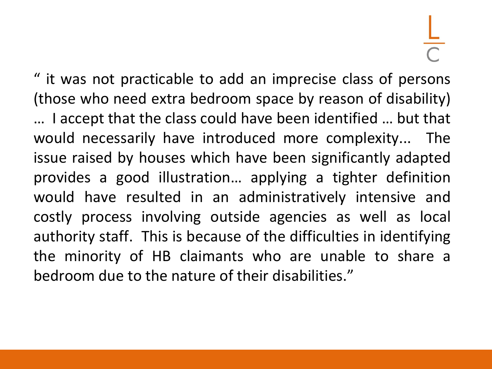" it was not practicable to add an imprecise class of persons (those who need extra bedroom space by reason of disability) … I accept that the class could have been identified … but that would necessarily have introduced more complexity... The issue raised by houses which have been significantly adapted provides a good illustration… applying a tighter definition would have resulted in an administratively intensive and costly process involving outside agencies as well as local authority staff. This is because of the difficulties in identifying the minority of HB claimants who are unable to share a bedroom due to the nature of their disabilities."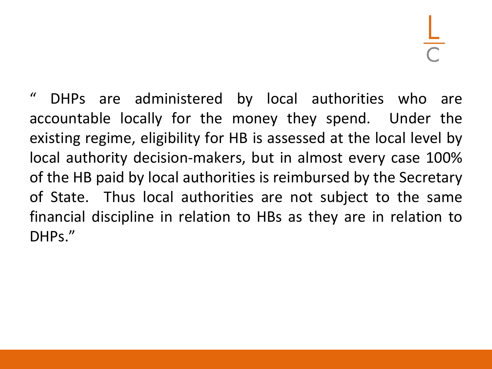" DHPs are administered by local authorities who are accountable locally for the money they spend. Under the existing regime, eligibility for HB is assessed at the local level by local authority decision-makers, but in almost every case 100% of the HB paid by local authorities is reimbursed by the Secretary of State. Thus local authorities are not subject to the same financial discipline in relation to HBs as they are in relation to DHPs."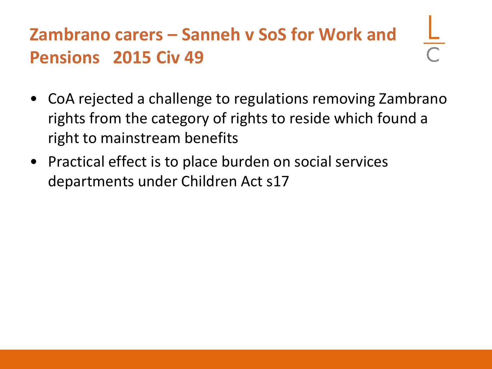## **Zambrano carers – Sanneh v SoS for Work and Pensions 2015 Civ 49**

- CoA rejected a challenge to regulations removing Zambrano rights from the category of rights to reside which found a right to mainstream benefits
- Practical effect is to place burden on social services departments under Children Act s17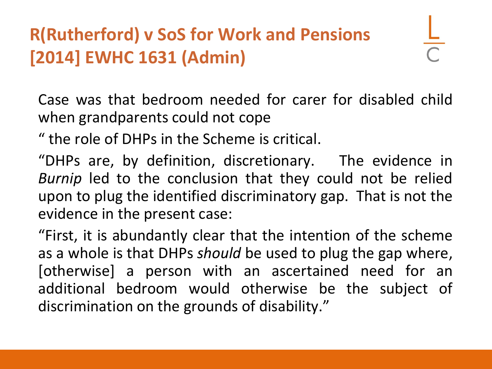### **R(Rutherford) v SoS for Work and Pensions [2014] EWHC 1631 (Admin)**

Case was that bedroom needed for carer for disabled child when grandparents could not cope

" the role of DHPs in the Scheme is critical.

"DHPs are, by definition, discretionary. The evidence in *Burnip* led to the conclusion that they could not be relied upon to plug the identified discriminatory gap. That is not the evidence in the present case:

"First, it is abundantly clear that the intention of the scheme as a whole is that DHPs *should* be used to plug the gap where, [otherwise] a person with an ascertained need for an additional bedroom would otherwise be the subject of discrimination on the grounds of disability."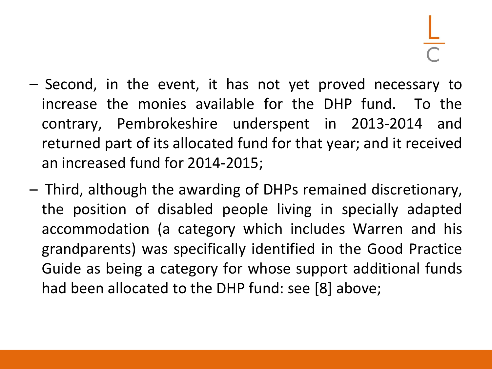- Second, in the event, it has not yet proved necessary to increase the monies available for the DHP fund. To the contrary, Pembrokeshire underspent in 2013-2014 and returned part of its allocated fund for that year; and it received an increased fund for 2014-2015;
- Third, although the awarding of DHPs remained discretionary, the position of disabled people living in specially adapted accommodation (a category which includes Warren and his grandparents) was specifically identified in the Good Practice Guide as being a category for whose support additional funds had been allocated to the DHP fund: see [8] above;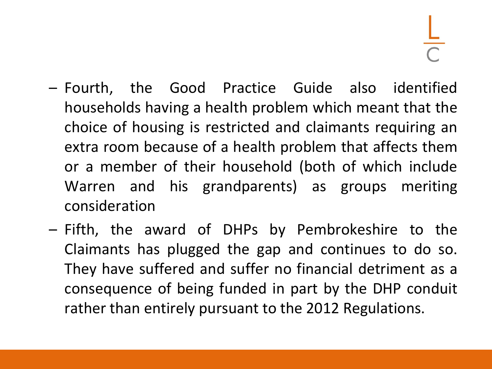- Fourth, the Good Practice Guide also identified households having a health problem which meant that the choice of housing is restricted and claimants requiring an extra room because of a health problem that affects them or a member of their household (both of which include Warren and his grandparents) as groups meriting consideration
- Fifth, the award of DHPs by Pembrokeshire to the Claimants has plugged the gap and continues to do so. They have suffered and suffer no financial detriment as a consequence of being funded in part by the DHP conduit rather than entirely pursuant to the 2012 Regulations.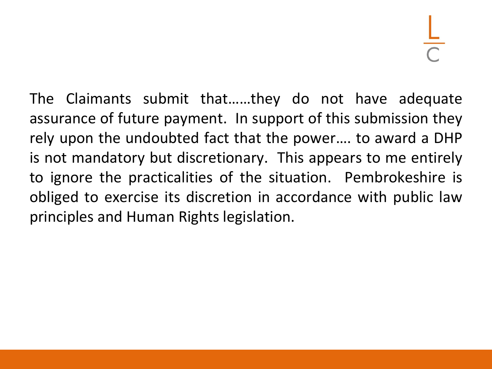The Claimants submit that……they do not have adequate assurance of future payment. In support of this submission they rely upon the undoubted fact that the power…. to award a DHP is not mandatory but discretionary. This appears to me entirely to ignore the practicalities of the situation. Pembrokeshire is obliged to exercise its discretion in accordance with public law principles and Human Rights legislation.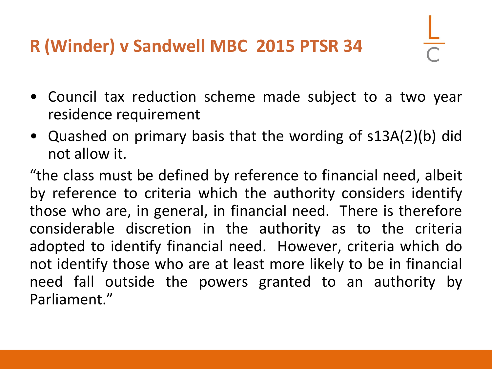### **R (Winder) v Sandwell MBC 2015 PTSR 34**

- Council tax reduction scheme made subject to a two year residence requirement
- Quashed on primary basis that the wording of s13A(2)(b) did not allow it.

"the class must be defined by reference to financial need, albeit by reference to criteria which the authority considers identify those who are, in general, in financial need. There is therefore considerable discretion in the authority as to the criteria adopted to identify financial need. However, criteria which do not identify those who are at least more likely to be in financial need fall outside the powers granted to an authority by Parliament."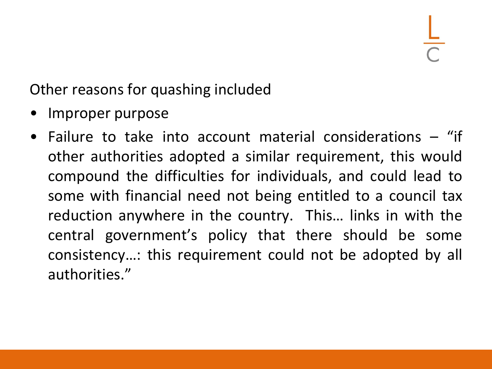Other reasons for quashing included

- Improper purpose
- Failure to take into account material considerations "if other authorities adopted a similar requirement, this would compound the difficulties for individuals, and could lead to some with financial need not being entitled to a council tax reduction anywhere in the country. This… links in with the central government's policy that there should be some consistency…: this requirement could not be adopted by all authorities."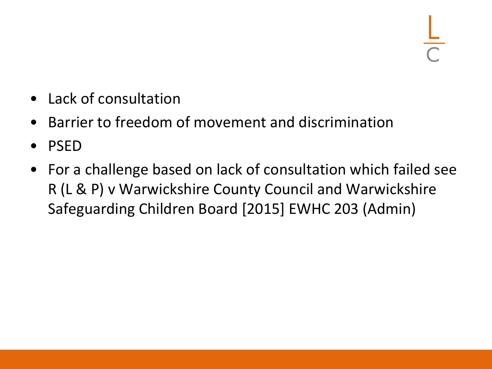- Lack of consultation
- Barrier to freedom of movement and discrimination
- PSED
- For a challenge based on lack of consultation which failed see R (L & P) v Warwickshire County Council and Warwickshire Safeguarding Children Board [2015] EWHC 203 (Admin)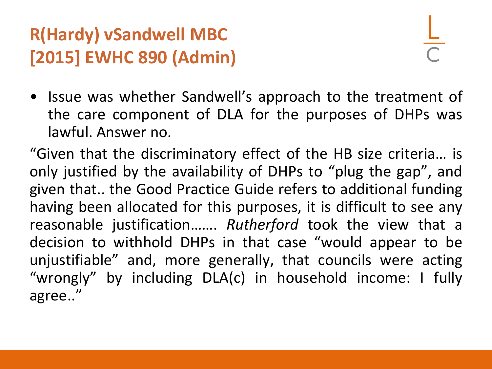### **R(Hardy) vSandwell MBC [2015] EWHC 890 (Admin)**

• Issue was whether Sandwell's approach to the treatment of the care component of DLA for the purposes of DHPs was lawful. Answer no.

"Given that the discriminatory effect of the HB size criteria… is only justified by the availability of DHPs to "plug the gap", and given that.. the Good Practice Guide refers to additional funding having been allocated for this purposes, it is difficult to see any reasonable justification……. *Rutherford* took the view that a decision to withhold DHPs in that case "would appear to be unjustifiable" and, more generally, that councils were acting "wrongly" by including DLA(c) in household income: I fully agree.."